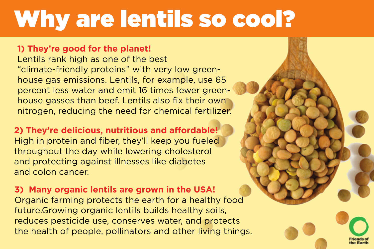# Why are lentils so cool?

#### **1) They're good for the planet!**

Lentils rank high as one of the best "climate-friendly proteins" with very low greenhouse gas emissions. Lentils, for example, use 65 percent less water and emit 16 times fewer greenhouse gasses than beef. Lentils also fix their own nitrogen, reducing the need for chemical fertilizer.

#### **2) They're delicious, nutritious and affordable!**

High in protein and fiber, they'll keep you fueled throughout the day while lowering cholesterol and protecting against illnesses like diabetes and colon cancer.

#### **3) Many organic lentils are grown in the USA!**

Organic farming protects the earth for a healthy food future.Growing organic lentils builds healthy soils, reduces pesticide use, conserves water, and protects the health of people, pollinators and other living things.